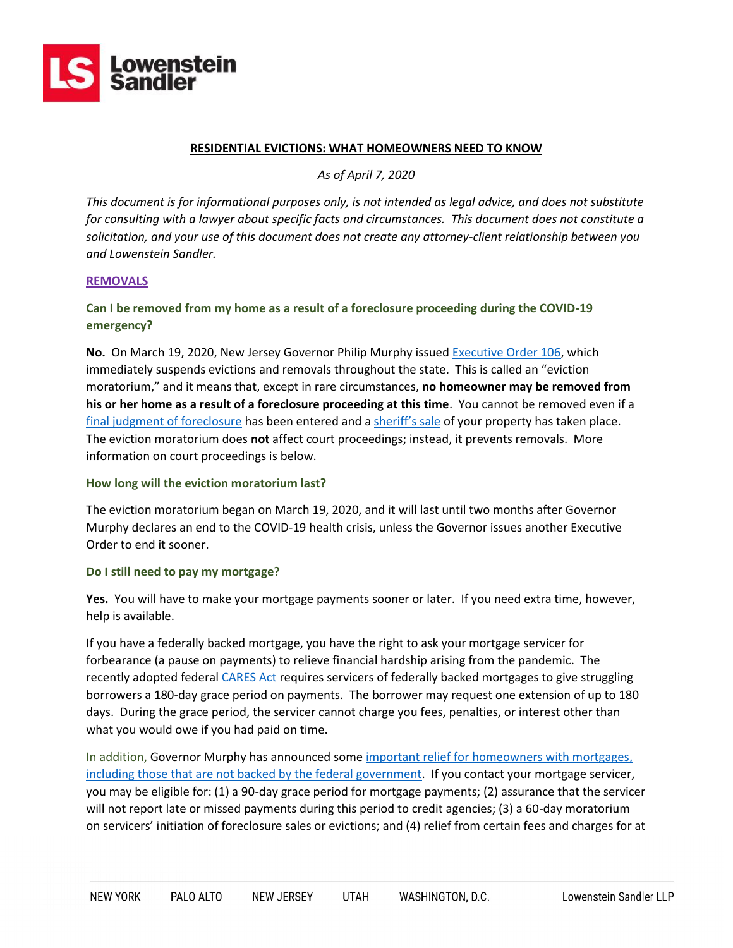

#### **RESIDENTIAL EVICTIONS: WHAT HOMEOWNERS NEED TO KNOW**

*As of April 7, 2020*

*This document is for informational purposes only, is not intended as legal advice, and does not substitute for consulting with a lawyer about specific facts and circumstances. This document does not constitute a solicitation, and your use of this document does not create any attorney-client relationship between you and Lowenstein Sandler.*

#### **REMOVALS**

## **Can I be removed from my home as a result of a foreclosure proceeding during the COVID-19 emergency?**

**No.** On March 19, 2020, New Jersey Governor Philip Murphy issued [Executive Order 106,](https://nj.gov/infobank/eo/056murphy/pdf/EO-106.pdf) which immediately suspends evictions and removals throughout the state. This is called an "eviction moratorium," and it means that, except in rare circumstances, **no homeowner may be removed from his or her home as a result of a foreclosure proceeding at this time**. You cannot be removed even if a [final judgment of foreclosure](https://www.lsnjlaw.org/Housing/Home-Ownership/Foreclosure/Pages/Foreclosure-Process.aspx) has been entered and a [sheriff's sale](https://www.lsnjlaw.org/Housing/Home-Ownership/Foreclosure/Pages/Foreclosure-Process.aspx) of your property has taken place. The eviction moratorium does **not** affect court proceedings; instead, it prevents removals. More information on court proceedings is below.

### **How long will the eviction moratorium last?**

The eviction moratorium began on March 19, 2020, and it will last until two months after Governor Murphy declares an end to the COVID-19 health crisis, unless the Governor issues another Executive Order to end it sooner.

### **Do I still need to pay my mortgage?**

**Yes.** You will have to make your mortgage payments sooner or later. If you need extra time, however, help is available.

If you have a federally backed mortgage, you have the right to ask your mortgage servicer for forbearance (a pause on payments) to relieve financial hardship arising from the pandemic. The recently adopted federal [CARES Act](https://www.congress.gov/116/bills/hr748/BILLS-116hr748eas.pdf) requires servicers of federally backed mortgages to give struggling borrowers a 180-day grace period on payments. The borrower may request one extension of up to 180 days. During the grace period, the servicer cannot charge you fees, penalties, or interest other than what you would owe if you had paid on time.

In addition, Governor Murphy has announced som[e important relief for homeowners with mortgages,](https://nj.gov/governor/news/news/562020/approved/20200328c.shtml) including those that are not backed by the federal government. If you contact your mortgage servicer, you may be eligible for: (1) a 90-day grace period for mortgage payments; (2) assurance that the servicer will not report late or missed payments during this period to credit agencies; (3) a 60-day moratorium on servicers' initiation of foreclosure sales or evictions; and (4) relief from certain fees and charges for at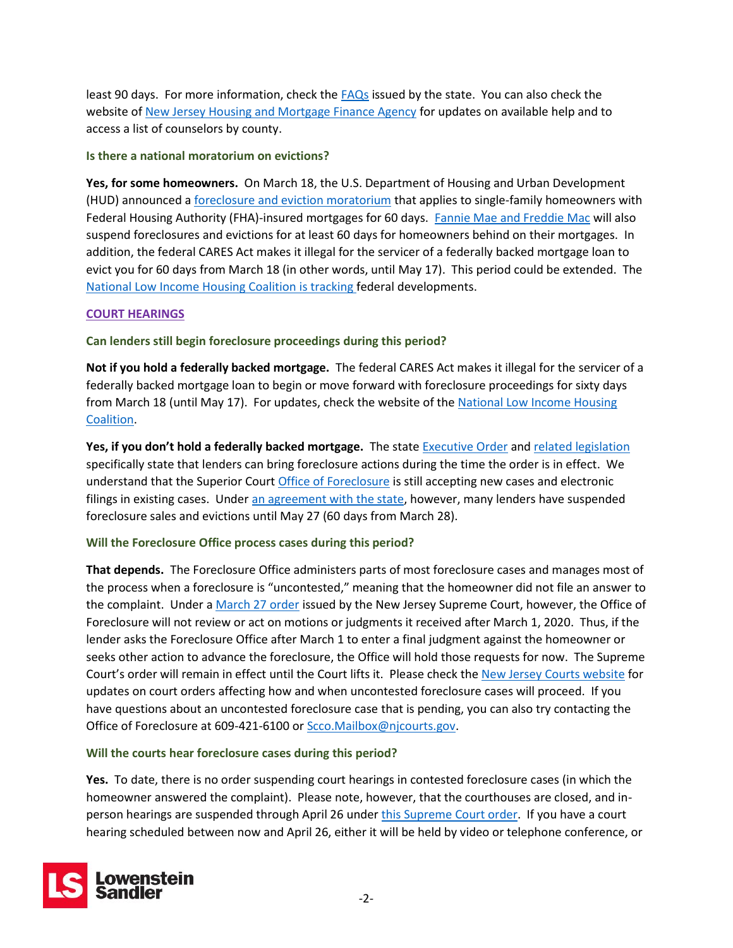least 90 days. For more information, check the [FAQs](https://www.state.nj.us/dobi/covid/mortgagerelief.html) issued by the state. You can also check the website of [New Jersey Housing and Mortgage Finance Agency](https://njhousing.gov/foreclosure) for updates on available help and to access a list of counselors by county.

**Is there a national moratorium on evictions?**

**Yes, for some homeowners.** On March 18, the U.S. Department of Housing and Urban Development (HUD) announced a [foreclosure and eviction moratorium](https://www.hud.gov/sites/dfiles/OCHCO/documents/20-04hsgml.pdf) that applies to single-family homeowners with Federal Housing Authority (FHA)-insured mortgages for 60 days. [Fannie Mae and Freddie Mac](https://www.fhfa.gov/Media/PublicAffairs/Pages/FHFA-Suspends-Foreclosures-and-Evictions-for-Enterprise-Backed-Mortgages.aspx) will also suspend foreclosures and evictions for at least 60 days for homeowners behind on their mortgages. In addition, the federal CARES Act makes it illegal for the servicer of a federally backed mortgage loan to evict you for 60 days from March 18 (in other words, until May 17). This period could be extended. The [National Low Income Housing Coalition](https://nlihc.org/coronavirus-and-housing-homelessness) is tracking federal developments.

# **COURT HEARINGS**

**Can lenders still begin foreclosure proceedings during this period?**

**Not if you hold a federally backed mortgage.** The federal CARES Act makes it illegal for the servicer of a federally backed mortgage loan to begin or move forward with foreclosure proceedings for sixty days from March 18 (until May 17). For updates, check the website of th[e National Low Income Housing](https://nlihc.org/coronavirus-and-housing-homelessness)  [Coalition.](https://nlihc.org/coronavirus-and-housing-homelessness)

**Yes, if you don't hold a federally backed mortgage.** The state [Executive Order](https://nj.gov/infobank/eo/056murphy/pdf/EO-106.pdf) and [related legislation](https://www.njleg.state.nj.us/2020/Bills/A4000/3859_I1.PDF) specifically state that lenders can bring foreclosure actions during the time the order is in effect. We understand that the Superior Court [Office of Foreclosure](https://www.njcourts.gov/courts/superior/foreclosure.html?lang=eng) is still accepting new cases and electronic filings in existing cases. Under [an agreement with the state,](https://nj.gov/governor/news/news/562020/approved/20200328c.shtml) however, many lenders have suspended foreclosure sales and evictions until May 27 (60 days from March 28).

# **Will the Foreclosure Office process cases during this period?**

**That depends.** The Foreclosure Office administers parts of most foreclosure cases and manages most of the process when a foreclosure is "uncontested," meaning that the homeowner did not file an answer to the complaint. Under a [March 27 order](https://www.njcourts.gov/notices/2020/n200327a.pdf) issued by the New Jersey Supreme Court, however, the Office of Foreclosure will not review or act on motions or judgments it received after March 1, 2020. Thus, if the lender asks the Foreclosure Office after March 1 to enter a final judgment against the homeowner or seeks other action to advance the foreclosure, the Office will hold those requests for now. The Supreme Court's order will remain in effect until the Court lifts it. Please check the [New Jersey Courts website](https://www.njcourts.gov/public/covid19.html) for updates on court orders affecting how and when uncontested foreclosure cases will proceed. If you have questions about an uncontested foreclosure case that is pending, you can also try contacting the Office of Foreclosure at 609-421-6100 o[r Scco.Mailbox@njcourts.gov.](mailto:SCCO.Mailbox@njcourts.gov)

## **Will the courts hear foreclosure cases during this period?**

**Yes.** To date, there is no order suspending court hearings in contested foreclosure cases (in which the homeowner answered the complaint). Please note, however, that the courthouses are closed, and inperson hearings are suspended through April 26 unde[r this Supreme Court order.](https://www.njcourts.gov/notices/2020/n200327a.pdf) If you have a court hearing scheduled between now and April 26, either it will be held by video or telephone conference, or